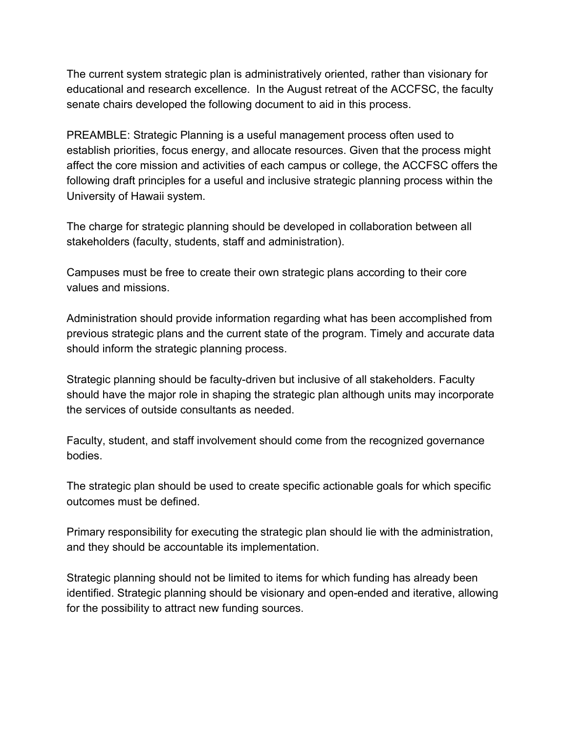The current system strategic plan is administratively oriented, rather than visionary for educational and research excellence. In the August retreat of the ACCFSC, the faculty senate chairs developed the following document to aid in this process.

PREAMBLE: Strategic Planning is a useful management process often used to establish priorities, focus energy, and allocate resources. Given that the process might affect the core mission and activities of each campus or college, the ACCFSC offers the following draft principles for a useful and inclusive strategic planning process within the University of Hawaii system.

The charge for strategic planning should be developed in collaboration between all stakeholders (faculty, students, staff and administration).

Campuses must be free to create their own strategic plans according to their core values and missions.

Administration should provide information regarding what has been accomplished from previous strategic plans and the current state of the program. Timely and accurate data should inform the strategic planning process.

Strategic planning should be faculty-driven but inclusive of all stakeholders. Faculty should have the major role in shaping the strategic plan although units may incorporate the services of outside consultants as needed.

Faculty, student, and staff involvement should come from the recognized governance bodies.

The strategic plan should be used to create specific actionable goals for which specific outcomes must be defined.

Primary responsibility for executing the strategic plan should lie with the administration, and they should be accountable its implementation.

Strategic planning should not be limited to items for which funding has already been identified. Strategic planning should be visionary and open-ended and iterative, allowing for the possibility to attract new funding sources.